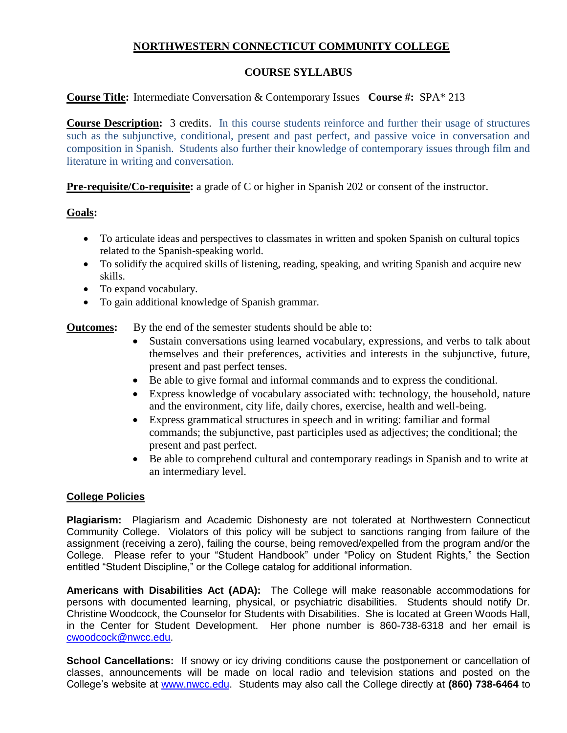# **NORTHWESTERN CONNECTICUT COMMUNITY COLLEGE**

## **COURSE SYLLABUS**

### **Course Title:** Intermediate Conversation & Contemporary Issues **Course #:** SPA\* 213

**Course Description:** 3 credits. In this course students reinforce and further their usage of structures such as the subjunctive, conditional, present and past perfect, and passive voice in conversation and composition in Spanish. Students also further their knowledge of contemporary issues through film and literature in writing and conversation.

**Pre-requisite/Co-requisite:** a grade of C or higher in Spanish 202 or consent of the instructor.

### **Goals:**

- To articulate ideas and perspectives to classmates in written and spoken Spanish on cultural topics related to the Spanish-speaking world.
- To solidify the acquired skills of listening, reading, speaking, and writing Spanish and acquire new skills.
- To expand vocabulary.
- To gain additional knowledge of Spanish grammar.

**Outcomes:** By the end of the semester students should be able to:

- Sustain conversations using learned vocabulary, expressions, and verbs to talk about themselves and their preferences, activities and interests in the subjunctive, future, present and past perfect tenses.
- Be able to give formal and informal commands and to express the conditional.
- Express knowledge of vocabulary associated with: technology, the household, nature and the environment, city life, daily chores, exercise, health and well-being.
- Express grammatical structures in speech and in writing: familiar and formal commands; the subjunctive, past participles used as adjectives; the conditional; the present and past perfect.
- Be able to comprehend cultural and contemporary readings in Spanish and to write at an intermediary level.

### **College Policies**

**Plagiarism:** Plagiarism and Academic Dishonesty are not tolerated at Northwestern Connecticut Community College. Violators of this policy will be subject to sanctions ranging from failure of the assignment (receiving a zero), failing the course, being removed/expelled from the program and/or the College. Please refer to your "Student Handbook" under "Policy on Student Rights," the Section entitled "Student Discipline," or the College catalog for additional information.

**Americans with Disabilities Act (ADA):** The College will make reasonable accommodations for persons with documented learning, physical, or psychiatric disabilities. Students should notify Dr. Christine Woodcock, the Counselor for Students with Disabilities. She is located at Green Woods Hall, in the Center for Student Development. Her phone number is 860-738-6318 and her email is [cwoodcock@nwcc.edu.](mailto:cwoodcock@nwcc.edu)

**School Cancellations:** If snowy or icy driving conditions cause the postponement or cancellation of classes, announcements will be made on local radio and television stations and posted on the College's website at [www.nwcc.edu.](http://www.nwcc.edu/) Students may also call the College directly at **(860) 738-6464** to